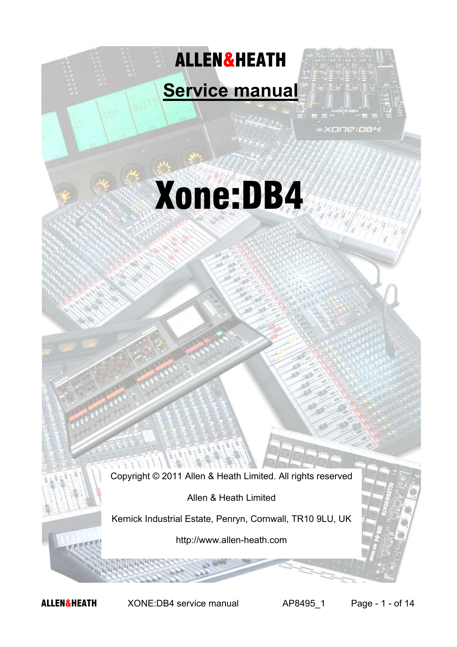



Copyright © 2011 Allen & Heath Limited. All rights reserved

Allen & Heath Limited

Kernick Industrial Estate, Penryn, Cornwall, TR10 9LU, UK

http://www.allen-heath.com

ALLEN&HEATH XONE:DB4 service manual AP8495\_1 Page - 1 - of 14

 $\sqrt{1}$ 

xone:DB4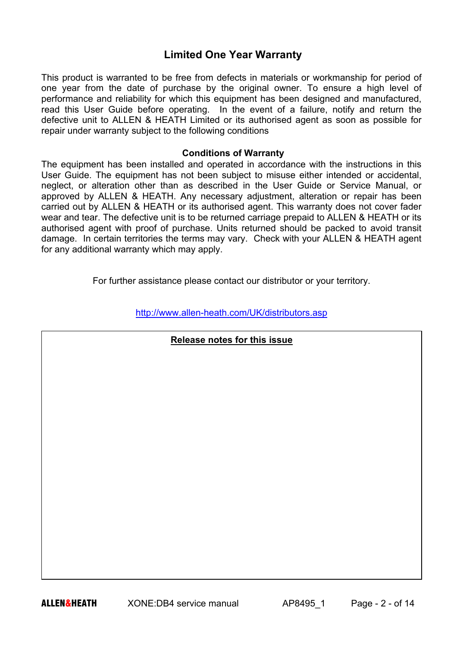# **Limited One Year Warranty**

This product is warranted to be free from defects in materials or workmanship for period of one year from the date of purchase by the original owner. To ensure a high level of performance and reliability for which this equipment has been designed and manufactured, read this User Guide before operating. In the event of a failure, notify and return the defective unit to ALLEN & HEATH Limited or its authorised agent as soon as possible for repair under warranty subject to the following conditions

### **Conditions of Warranty**

The equipment has been installed and operated in accordance with the instructions in this User Guide. The equipment has not been subject to misuse either intended or accidental, neglect, or alteration other than as described in the User Guide or Service Manual, or approved by ALLEN & HEATH. Any necessary adjustment, alteration or repair has been carried out by ALLEN & HEATH or its authorised agent. This warranty does not cover fader wear and tear. The defective unit is to be returned carriage prepaid to ALLEN & HEATH or its authorised agent with proof of purchase. Units returned should be packed to avoid transit damage. In certain territories the terms may vary. Check with your ALLEN & HEATH agent for any additional warranty which may apply.

For further assistance please contact our distributor or your territory.

http://www.allen-heath.com/UK/distributors.asp

### **Release notes for this issue**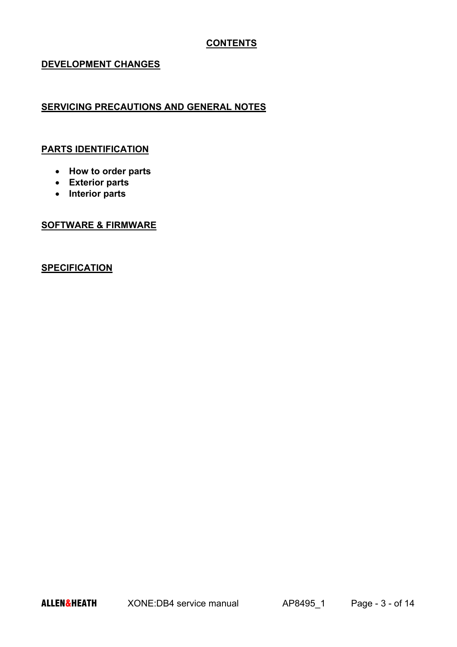### **CONTENTS**

### **DEVELOPMENT CHANGES**

## **SERVICING PRECAUTIONS AND GENERAL NOTES**

#### **PARTS IDENTIFICATION**

- **How to order parts**
- **Exterior parts**
- **Interior parts**

### **SOFTWARE & FIRMWARE**

## **SPECIFICATION**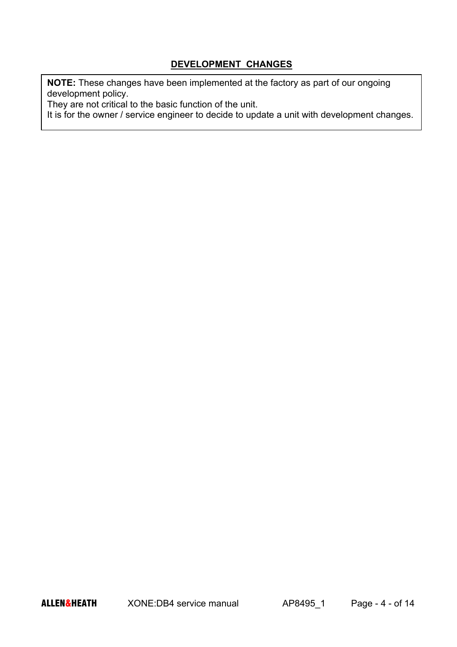### **DEVELOPMENT CHANGES**

**NOTE:** These changes have been implemented at the factory as part of our ongoing development policy.

They are not critical to the basic function of the unit.

It is for the owner / service engineer to decide to update a unit with development changes.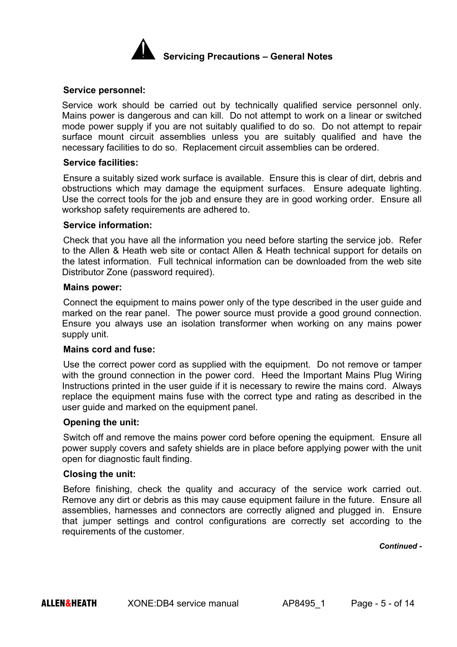

#### **Service personnel:**

Service work should be carried out by technically qualified service personnel only. Mains power is dangerous and can kill. Do not attempt to work on a linear or switched mode power supply if you are not suitably qualified to do so. Do not attempt to repair surface mount circuit assemblies unless you are suitably qualified and have the necessary facilities to do so. Replacement circuit assemblies can be ordered.

#### **Service facilities:**

Ensure a suitably sized work surface is available. Ensure this is clear of dirt, debris and obstructions which may damage the equipment surfaces. Ensure adequate lighting. Use the correct tools for the job and ensure they are in good working order. Ensure all workshop safety requirements are adhered to.

#### **Service information:**

Check that you have all the information you need before starting the service job. Refer to the Allen & Heath web site or contact Allen & Heath technical support for details on the latest information. Full technical information can be downloaded from the web site Distributor Zone (password required).

#### **Mains power:**

Connect the equipment to mains power only of the type described in the user guide and marked on the rear panel. The power source must provide a good ground connection. Ensure you always use an isolation transformer when working on any mains power supply unit.

#### **Mains cord and fuse:**

Use the correct power cord as supplied with the equipment. Do not remove or tamper with the ground connection in the power cord. Heed the Important Mains Plug Wiring Instructions printed in the user guide if it is necessary to rewire the mains cord. Always replace the equipment mains fuse with the correct type and rating as described in the user guide and marked on the equipment panel.

#### **Opening the unit:**

Switch off and remove the mains power cord before opening the equipment. Ensure all power supply covers and safety shields are in place before applying power with the unit open for diagnostic fault finding.

#### **Closing the unit:**

Before finishing, check the quality and accuracy of the service work carried out. Remove any dirt or debris as this may cause equipment failure in the future. Ensure all assemblies, harnesses and connectors are correctly aligned and plugged in. Ensure that jumper settings and control configurations are correctly set according to the requirements of the customer.

*Continued -*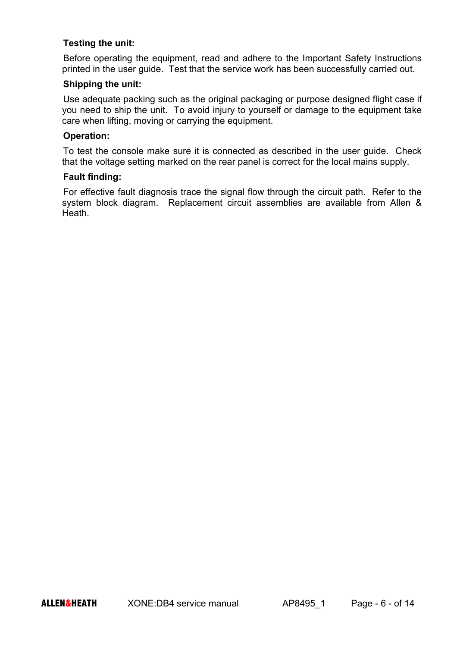### **Testing the unit:**

Before operating the equipment, read and adhere to the Important Safety Instructions printed in the user guide. Test that the service work has been successfully carried out.

### **Shipping the unit:**

Use adequate packing such as the original packaging or purpose designed flight case if you need to ship the unit. To avoid injury to yourself or damage to the equipment take care when lifting, moving or carrying the equipment.

### **Operation:**

To test the console make sure it is connected as described in the user guide. Check that the voltage setting marked on the rear panel is correct for the local mains supply.

#### **Fault finding:**

For effective fault diagnosis trace the signal flow through the circuit path. Refer to the system block diagram. Replacement circuit assemblies are available from Allen & Heath.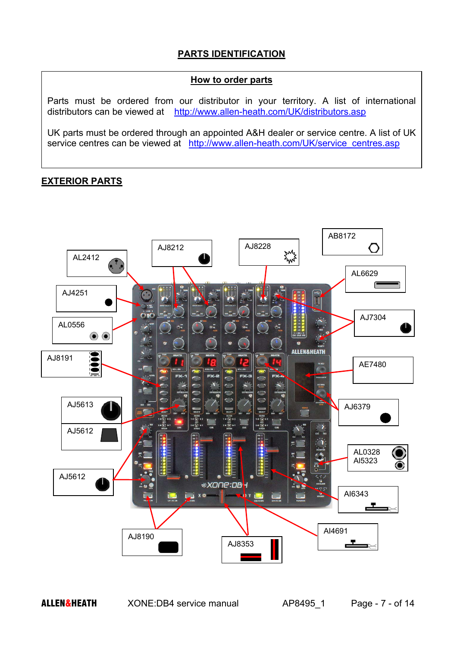## **PARTS IDENTIFICATION**

### **How to order parts**

Parts must be ordered from our distributor in your territory. A list of international distributors can be viewed at http://www.allen-heath.com/UK/distributors.asp

UK parts must be ordered through an appointed A&H dealer or service centre. A list of UK service centres can be viewed at http://www.allen-heath.com/UK/service\_centres.asp

## **EXTERIOR PARTS**

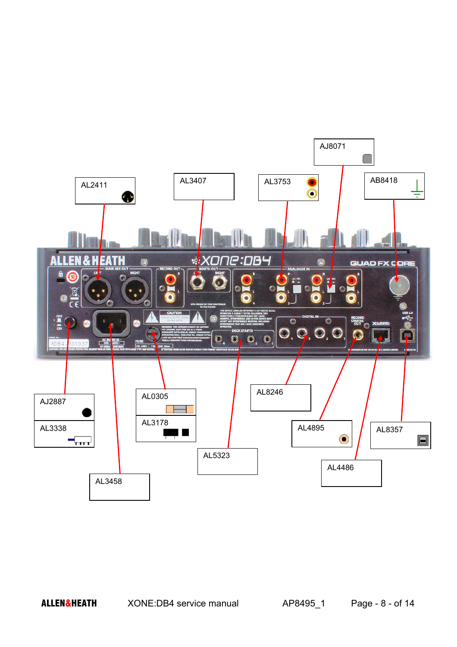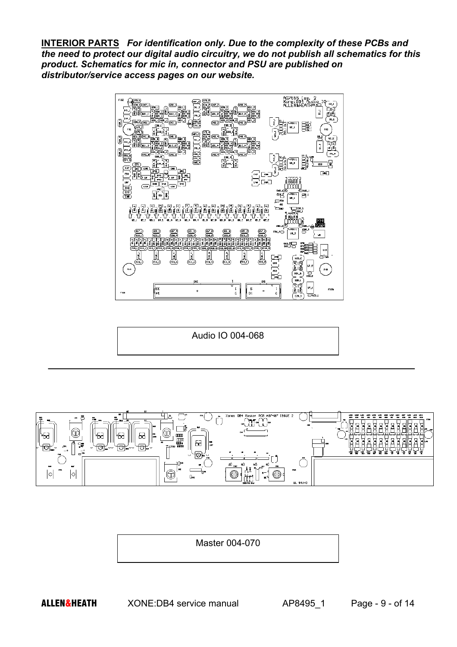**INTERIOR PARTS** *For identification only. Due to the complexity of these PCBs and the need to protect our digital audio circuitry, we do not publish all schematics for this product. Schematics for mic in, connector and PSU are published on distributor/service access pages on our website.*



Audio IO 004-068



Master 004-070

ALLEN&HEATH XONE:DB4 service manual AP8495 1 Page - 9 - of 14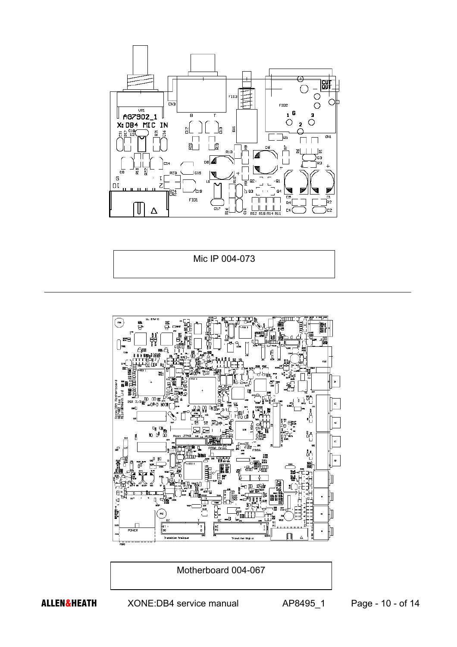

Mic IP 004-073



Motherboard 004-067

ALLEN&HEATH XONE:DB4 service manual AP8495\_1 Page - 10 - of 14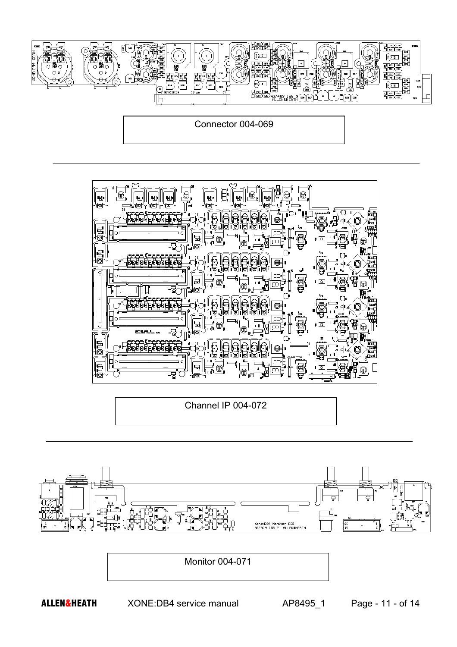



Channel IP 004-072



Monitor 004-071

ALLEN&HEATH XONE:DB4 service manual AP8495\_1 Page - 11 - of 14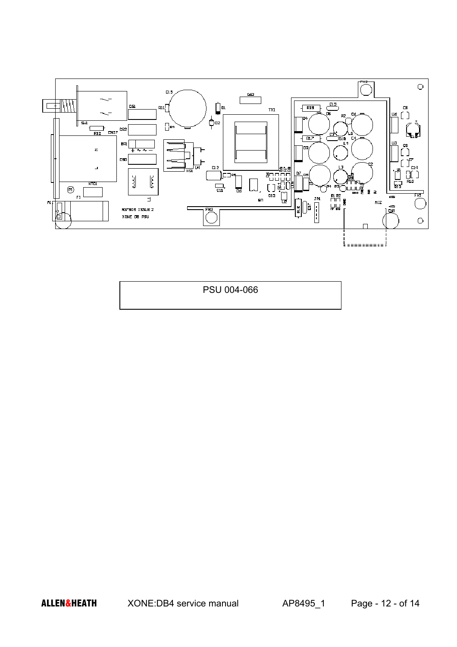

PSU 004-066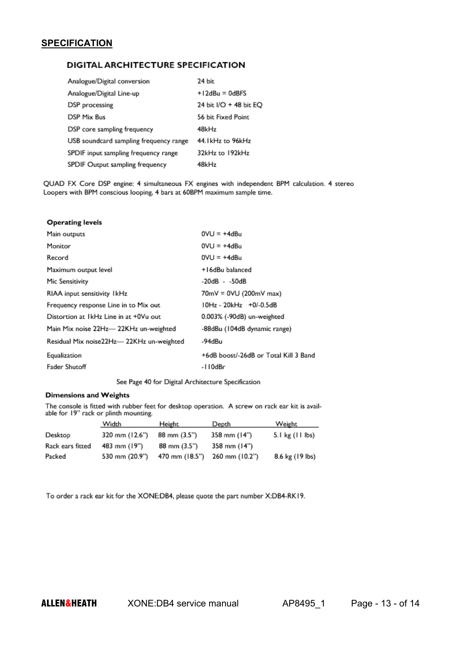### **SPECIFICATION**

#### DIGITAL ARCHITECTURE SPECIFICATION

| Analogue/Digital conversion            | 24 bit                 |
|----------------------------------------|------------------------|
| Analogue/Digital Line-up               | $+12$ dBu = 0dBFS      |
| DSP processing                         | 24 bit I/O + 48 bit EO |
| DSP Mix Bus                            | 56 bit Fixed Point     |
| DSP core sampling frequency            | 48kHz                  |
| USB soundcard sampling frequency range | 44. IkHz to 96kHz      |
| SPDIF input sampling frequency range   | 32kHz to 192kHz        |
| SPDIF Output sampling frequency        | 48kHz                  |

QUAD FX Core DSP engine: 4 simultaneous FX engines with independent BPM calculation. 4 stereo Loopers with BPM conscious looping, 4 bars at 60BPM maximum sample time.

| $0VU = +4dBu$                         |
|---------------------------------------|
| $0VU = +4dBu$                         |
| $0VU = +4dBu$                         |
| +16dBu balanced                       |
| -20dB - -50dB                         |
| 70mV = 0VU (200mV max)                |
| 10Hz - 20kHz +0/-0.5dB                |
| 0.003% (-90dB) un-weighted            |
| -88dBu (104dB dynamic range)          |
| -94dBu                                |
| +6dB boost/-26dB or Total Kill 3 Band |
| -110dBr                               |
|                                       |

See Page 40 for Digital Architecture Specification

#### **Dimensions and Weights**

The console is fitted with rubber feet for desktop operation. A screw on rack ear kit is available for 19" rack or plinth mounting.

|                  | Width          | Height         | Depth          | Weight          |
|------------------|----------------|----------------|----------------|-----------------|
| Desktop          | 320 mm (12.6") | 88 mm (3.5")   | 358 mm (14")   | 5.1 kg (11 lbs) |
| Rack ears fitted | 483 mm (19")   | 88 mm (3.5")   | 358 mm (14")   |                 |
| Packed           | 530 mm (20.9") | 470 mm (18.5") | 260 mm (10.2") | 8.6 kg (19 lbs) |

To order a rack ear kit for the XONE:DB4, please quote the part number X:DB4-RK19.

ALLEN&HEATH XONE:DB4 service manual AP8495\_1 Page - 13 - of 14